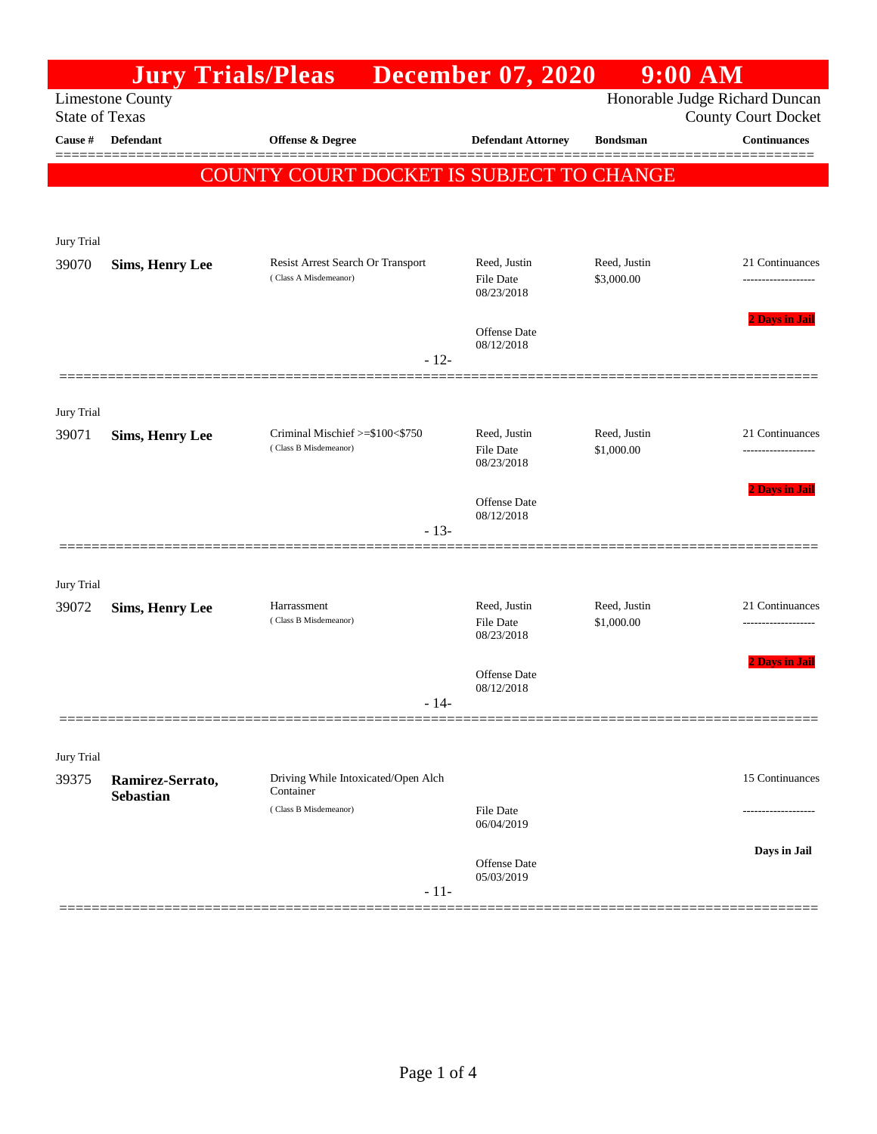|                                  |                         | <b>Jury Trials/Pleas</b> December 07, 2020       |                                | $9:00$ AM                  |                                                   |
|----------------------------------|-------------------------|--------------------------------------------------|--------------------------------|----------------------------|---------------------------------------------------|
|                                  | <b>Limestone County</b> |                                                  |                                |                            | Honorable Judge Richard Duncan                    |
| <b>State of Texas</b><br>Cause # | <b>Defendant</b>        | Offense & Degree                                 | <b>Defendant Attorney</b>      | <b>Bondsman</b>            | <b>County Court Docket</b><br><b>Continuances</b> |
|                                  |                         |                                                  |                                |                            |                                                   |
|                                  |                         | <b>COUNTY COURT DOCKET IS SUBJECT TO CHANGE</b>  |                                |                            |                                                   |
|                                  |                         |                                                  |                                |                            |                                                   |
| Jury Trial                       |                         |                                                  |                                |                            |                                                   |
| 39070                            | <b>Sims, Henry Lee</b>  | Resist Arrest Search Or Transport                | Reed, Justin                   | Reed, Justin               | 21 Continuances                                   |
|                                  |                         | (Class A Misdemeanor)                            | <b>File Date</b><br>08/23/2018 | \$3,000.00                 |                                                   |
|                                  |                         |                                                  |                                |                            | 2 Days in Jail                                    |
|                                  |                         |                                                  | Offense Date<br>08/12/2018     |                            |                                                   |
|                                  |                         | $-12-$                                           |                                |                            |                                                   |
|                                  |                         |                                                  |                                |                            |                                                   |
| Jury Trial<br>39071              | <b>Sims, Henry Lee</b>  | Criminal Mischief >=\$100<\$750                  | Reed, Justin                   | Reed, Justin               | 21 Continuances                                   |
|                                  |                         | (Class B Misdemeanor)                            | <b>File Date</b><br>08/23/2018 | \$1,000.00                 |                                                   |
|                                  |                         |                                                  |                                |                            | 2 Days in Jail                                    |
|                                  |                         |                                                  | Offense Date<br>08/12/2018     |                            |                                                   |
|                                  |                         | $-13-$                                           |                                |                            |                                                   |
|                                  |                         |                                                  |                                |                            |                                                   |
| Jury Trial                       |                         |                                                  |                                |                            |                                                   |
| 39072                            | <b>Sims, Henry Lee</b>  | Harrassment<br>(Class B Misdemeanor)             | Reed, Justin<br>File Date      | Reed, Justin<br>\$1,000.00 | 21 Continuances                                   |
|                                  |                         |                                                  | 08/23/2018                     |                            |                                                   |
|                                  |                         |                                                  | Offense Date                   |                            | <b>2 Days in Jail</b>                             |
|                                  |                         | - 14                                             | 08/12/2018                     |                            |                                                   |
|                                  |                         |                                                  |                                |                            |                                                   |
| Jury Trial                       |                         |                                                  |                                |                            |                                                   |
| 39375                            | Ramirez-Serrato,        | Driving While Intoxicated/Open Alch<br>Container |                                |                            | 15 Continuances                                   |
|                                  | <b>Sebastian</b>        | (Class B Misdemeanor)                            | <b>File Date</b>               |                            |                                                   |
|                                  |                         |                                                  | 06/04/2019                     |                            |                                                   |
|                                  |                         |                                                  | <b>Offense Date</b>            |                            | Days in Jail                                      |
|                                  |                         | $-11-$                                           | 05/03/2019                     |                            |                                                   |
|                                  |                         |                                                  |                                |                            |                                                   |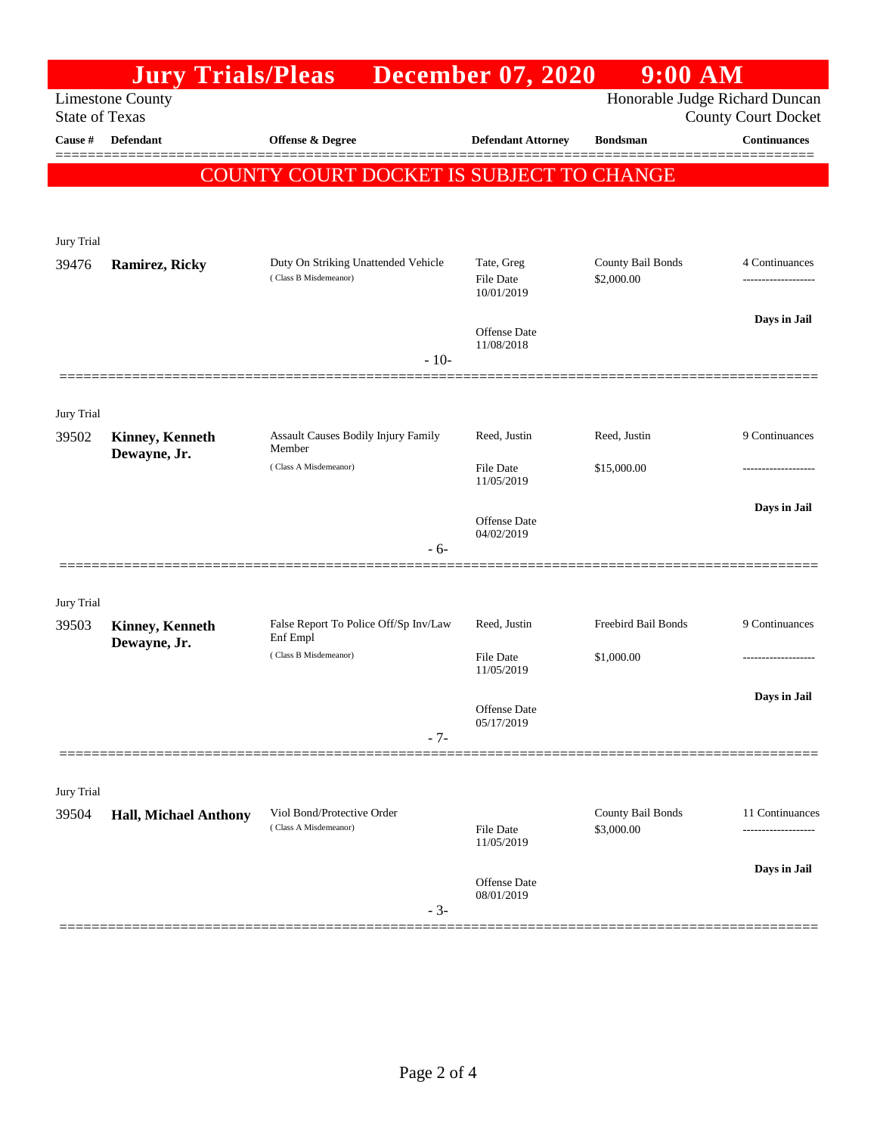| <b>Limestone County</b> |                                                                                                 |                                                                                                                |                                                                                          |                                                                                                    |
|-------------------------|-------------------------------------------------------------------------------------------------|----------------------------------------------------------------------------------------------------------------|------------------------------------------------------------------------------------------|----------------------------------------------------------------------------------------------------|
| <b>State of Texas</b>   |                                                                                                 |                                                                                                                |                                                                                          | Honorable Judge Richard Duncan<br><b>County Court Docket</b>                                       |
| Defendant               | <b>Offense &amp; Degree</b>                                                                     | <b>Defendant Attorney</b>                                                                                      | <b>Bondsman</b>                                                                          | <b>Continuances</b>                                                                                |
|                         |                                                                                                 |                                                                                                                |                                                                                          |                                                                                                    |
|                         |                                                                                                 |                                                                                                                |                                                                                          |                                                                                                    |
|                         |                                                                                                 |                                                                                                                |                                                                                          |                                                                                                    |
|                         |                                                                                                 |                                                                                                                |                                                                                          |                                                                                                    |
|                         | (Class B Misdemeanor)                                                                           | <b>File Date</b><br>10/01/2019                                                                                 | \$2,000.00                                                                               | 4 Continuances                                                                                     |
|                         |                                                                                                 |                                                                                                                |                                                                                          | Days in Jail                                                                                       |
|                         | $-10-$                                                                                          | 11/08/2018                                                                                                     |                                                                                          |                                                                                                    |
|                         |                                                                                                 |                                                                                                                |                                                                                          |                                                                                                    |
|                         |                                                                                                 |                                                                                                                |                                                                                          |                                                                                                    |
| <b>Kinney, Kenneth</b>  | <b>Assault Causes Bodily Injury Family</b><br>Member                                            | Reed, Justin                                                                                                   | Reed, Justin                                                                             | 9 Continuances                                                                                     |
|                         | (Class A Misdemeanor)                                                                           | <b>File Date</b><br>11/05/2019                                                                                 | \$15,000.00                                                                              |                                                                                                    |
|                         |                                                                                                 | Offense Date                                                                                                   |                                                                                          | Days in Jail                                                                                       |
|                         | - 6-                                                                                            |                                                                                                                |                                                                                          |                                                                                                    |
|                         |                                                                                                 |                                                                                                                |                                                                                          |                                                                                                    |
|                         |                                                                                                 |                                                                                                                |                                                                                          | 9 Continuances                                                                                     |
| Dewayne, Jr.            | Enf Empl                                                                                        |                                                                                                                |                                                                                          |                                                                                                    |
|                         |                                                                                                 | <b>File Date</b><br>11/05/2019                                                                                 |                                                                                          |                                                                                                    |
|                         |                                                                                                 |                                                                                                                |                                                                                          | Days in Jail                                                                                       |
|                         |                                                                                                 | 05/17/2019                                                                                                     |                                                                                          |                                                                                                    |
|                         |                                                                                                 |                                                                                                                |                                                                                          |                                                                                                    |
|                         |                                                                                                 |                                                                                                                |                                                                                          |                                                                                                    |
|                         | Viol Bond/Protective Order                                                                      |                                                                                                                | County Bail Bonds                                                                        | 11 Continuances                                                                                    |
|                         | (Class A Misdemeanor)                                                                           | <b>File Date</b><br>11/05/2019                                                                                 | \$3,000.00                                                                               |                                                                                                    |
|                         |                                                                                                 |                                                                                                                |                                                                                          | Days in Jail                                                                                       |
|                         | $-3-$                                                                                           | 08/01/2019                                                                                                     |                                                                                          |                                                                                                    |
|                         | <b>Ramirez, Ricky</b><br>Dewayne, Jr.<br><b>Kinney, Kenneth</b><br><b>Hall, Michael Anthony</b> | Duty On Striking Unattended Vehicle<br>False Report To Police Off/Sp Inv/Law<br>(Class B Misdemeanor)<br>$-7-$ | Tate, Greg<br>Offense Date<br>04/02/2019<br>Reed, Justin<br>Offense Date<br>Offense Date | COUNTY COURT DOCKET IS SUBJECT TO CHANGE<br>County Bail Bonds<br>Freebird Bail Bonds<br>\$1,000.00 |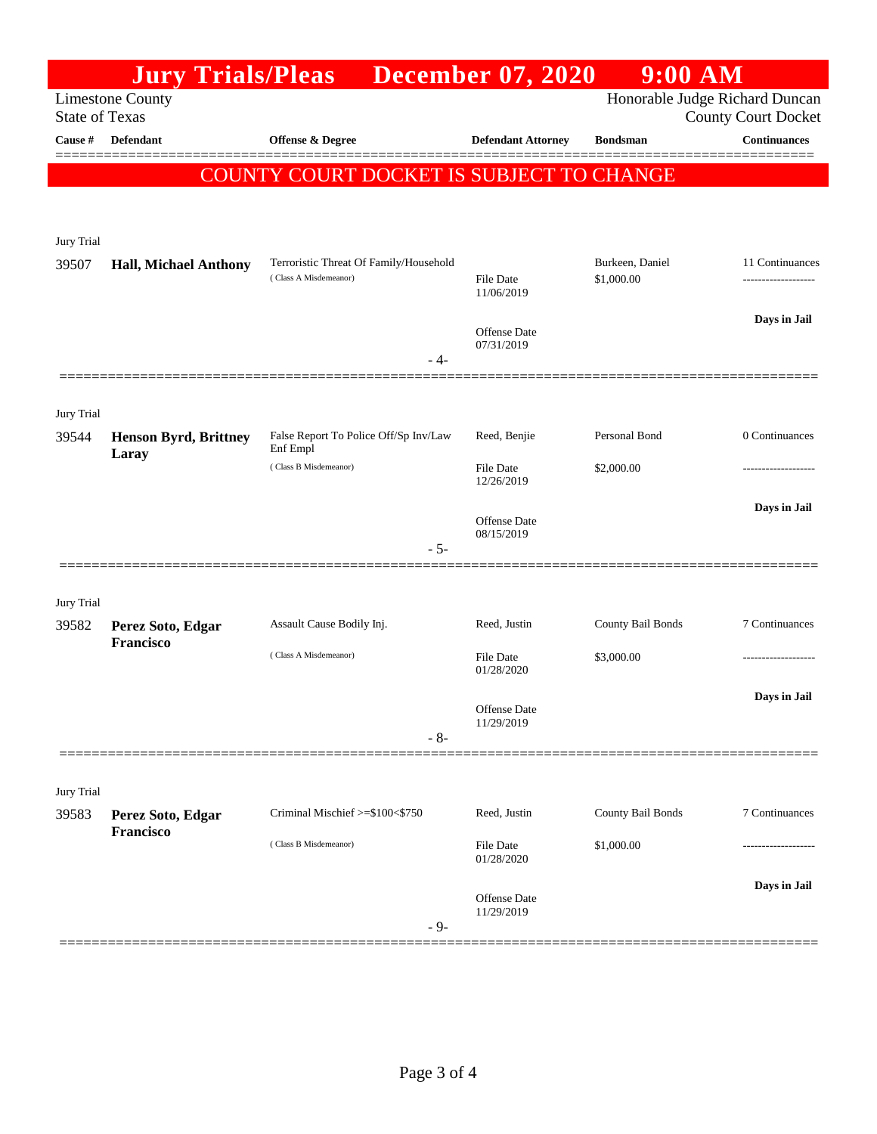|                       | <b>Jury Trials/Pleas</b>       |                                                                 | <b>December 07, 2020</b>                        | $9:00$ AM                       |                                |
|-----------------------|--------------------------------|-----------------------------------------------------------------|-------------------------------------------------|---------------------------------|--------------------------------|
|                       | <b>Limestone County</b>        |                                                                 |                                                 |                                 | Honorable Judge Richard Duncan |
| <b>State of Texas</b> |                                |                                                                 |                                                 |                                 | <b>County Court Docket</b>     |
| Cause #               | Defendant                      | Offense & Degree                                                | <b>Defendant Attorney</b>                       | <b>Bondsman</b>                 | <b>Continuances</b>            |
|                       |                                | COUNTY COURT DOCKET IS SUBJECT TO CHANGE                        |                                                 |                                 |                                |
| Jury Trial<br>39507   | <b>Hall, Michael Anthony</b>   | Terroristic Threat Of Family/Household<br>(Class A Misdemeanor) | File Date                                       | Burkeen, Daniel<br>\$1,000.00   | 11 Continuances                |
|                       |                                | - 4-                                                            | 11/06/2019<br><b>Offense</b> Date<br>07/31/2019 |                                 | Days in Jail                   |
| Jury Trial<br>39544   | <b>Henson Byrd, Brittney</b>   | False Report To Police Off/Sp Inv/Law<br>Enf Empl               | Reed, Benjie                                    | Personal Bond                   | 0 Continuances                 |
|                       | Laray                          | (Class B Misdemeanor)                                           | File Date<br>12/26/2019                         | \$2,000.00                      |                                |
|                       |                                | $-5-$                                                           | <b>Offense</b> Date<br>08/15/2019               |                                 | Days in Jail                   |
| Jury Trial            |                                |                                                                 |                                                 |                                 |                                |
| 39582                 | Perez Soto, Edgar<br>Francisco | Assault Cause Bodily Inj.<br>(Class A Misdemeanor)              | Reed, Justin<br>File Date<br>01/28/2020         | County Bail Bonds<br>\$3,000.00 | 7 Continuances                 |
|                       |                                | $-8-$                                                           | Offense Date<br>11/29/2019                      |                                 | Days in Jail                   |
| Jury Trial            |                                |                                                                 |                                                 |                                 |                                |
| 39583                 | Perez Soto, Edgar<br>Francisco | Criminal Mischief >=\$100<\$750                                 | Reed, Justin                                    | County Bail Bonds               | 7 Continuances                 |
|                       |                                | (Class B Misdemeanor)                                           | File Date<br>01/28/2020                         | \$1,000.00                      |                                |
|                       |                                | $-9-$                                                           | <b>Offense</b> Date<br>11/29/2019               |                                 | Days in Jail                   |